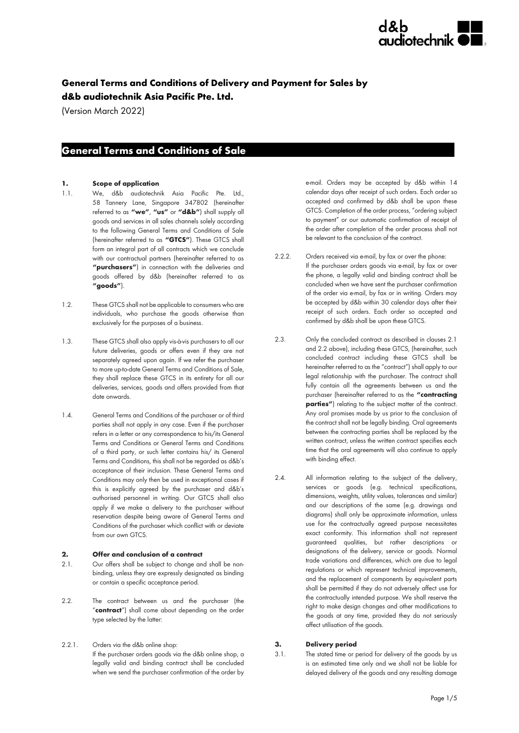

## **General Terms and Conditions of Delivery and Payment for Sales by d&b audiotechnik Asia Pacific Pte. Ltd.**

(Version March 2022)

### **General Terms and Conditions of Sale s**

#### **1. Scope of application**

- 1.1. We, d&b audiotechnik Asia Pacific Pte. Ltd., 58 Tannery Lane, Singapore 347802 (hereinafter referred to as **"we"**, **"us"** or **"d&b"**) shall supply all goods and services in all sales channels solely according to the following General Terms and Conditions of Sale (hereinafter referred to as **"GTCS"**). These GTCS shall form an integral part of all contracts which we conclude with our contractual partners (hereinafter referred to as **"purchasers"**) in connection with the deliveries and goods offered by d&b (hereinafter referred to as **"goods"**).
- 1.2. These GTCS shall not be applicable to consumers who are individuals, who purchase the goods otherwise than exclusively for the purposes of a business.
- 1.3. These GTCS shall also apply vis-à-vis purchasers to all our future deliveries, goods or offers even if they are not separately agreed upon again. If we refer the purchaser to more up-to-date General Terms and Conditions of Sale, they shall replace these GTCS in its entirety for all our deliveries, services, goods and offers provided from that date onwards.
- 1.4. General Terms and Conditions of the purchaser or of third parties shall not apply in any case. Even if the purchaser refers in a letter or any correspondence to his/its General Terms and Conditions or General Terms and Conditions of a third party, or such letter contains his/ its General Terms and Conditions, this shall not be regarded as d&b's acceptance of their inclusion. These General Terms and Conditions may only then be used in exceptional cases if this is explicitly agreed by the purchaser and d&b's authorised personnel in writing. Our GTCS shall also apply if we make a delivery to the purchaser without reservation despite being aware of General Terms and Conditions of the purchaser which conflict with or deviate from our own GTCS.

#### **2. Offer and conclusion of a contract**

- 2.1. Our offers shall be subject to change and shall be nonbinding, unless they are expressly designated as binding or contain a specific acceptance period.
- 2.2. The contract between us and the purchaser (the "**contract**") shall come about depending on the order type selected by the latter:
- 2.2.1. Orders via the d&b online shop: If the purchaser orders goods via the d&b online shop, a legally valid and binding contract shall be concluded when we send the purchaser confirmation of the order by

e-mail. Orders may be accepted by d&b within 14 calendar days after receipt of such orders. Each order so accepted and confirmed by d&b shall be upon these GTCS. Completion of the order process, "ordering subject to payment" or our automatic confirmation of receipt of the order after completion of the order process shall not be relevant to the conclusion of the contract.

- 2.2.2. Orders received via e-mail, by fax or over the phone: If the purchaser orders goods via e-mail, by fax or over the phone, a legally valid and binding contract shall be concluded when we have sent the purchaser confirmation of the order via e-mail, by fax or in writing. Orders may be accepted by d&b within 30 calendar days after their receipt of such orders. Each order so accepted and confirmed by d&b shall be upon these GTCS.
- 2.3. Only the concluded contract as described in clauses 2.1 and 2.2 above), including these GTCS, (hereinafter, such concluded contract including these GTCS shall be hereinafter referred to as the "contract") shall apply to our legal relationship with the purchaser. The contract shall fully contain all the agreements between us and the purchaser (hereinafter referred to as the **"contracting parties"**) relating to the subject matter of the contract. Any oral promises made by us prior to the conclusion of the contract shall not be legally binding. Oral agreements between the contracting parties shall be replaced by the written contract, unless the written contract specifies each time that the oral agreements will also continue to apply with binding effect.
- 2.4. All information relating to the subject of the delivery, services or goods (e.g. technical specifications, dimensions, weights, utility values, tolerances and similar) and our descriptions of the same (e.g. drawings and diagrams) shall only be approximate information, unless use for the contractually agreed purpose necessitates exact conformity. This information shall not represent guaranteed qualities, but rather descriptions or designations of the delivery, service or goods. Normal trade variations and differences, which are due to legal regulations or which represent technical improvements, and the replacement of components by equivalent parts shall be permitted if they do not adversely affect use for the contractually intended purpose. We shall reserve the right to make design changes and other modifications to the goods at any time, provided they do not seriously affect utilisation of the goods.

#### **3. Delivery period**

3.1. The stated time or period for delivery of the goods by us is an estimated time only and we shall not be liable for delayed delivery of the goods and any resulting damage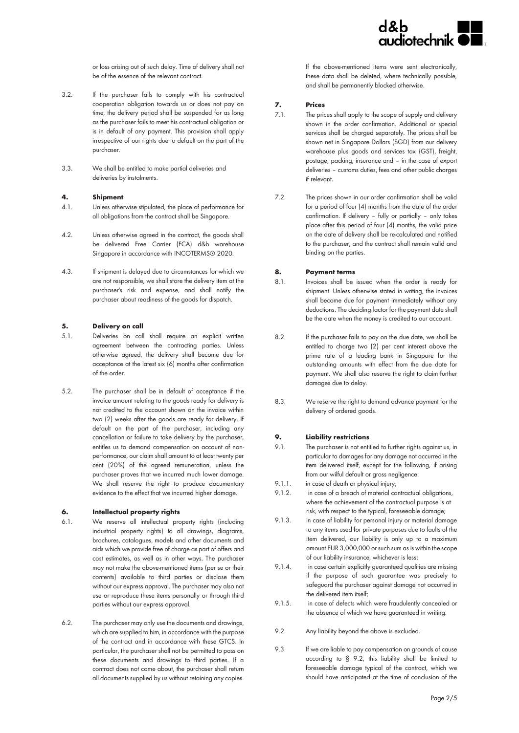

or loss arising out of such delay. Time of delivery shall not be of the essence of the relevant contract.

- 3.2. If the purchaser fails to comply with his contractual cooperation obligation towards us or does not pay on time, the delivery period shall be suspended for as long as the purchaser fails to meet his contractual obligation or is in default of any payment. This provision shall apply irrespective of our rights due to default on the part of the purchaser.
- 3.3. We shall be entitled to make partial deliveries and deliveries by instalments.

#### **4. Shipment**

- 4.1. Unless otherwise stipulated, the place of performance for all obligations from the contract shall be Singapore.
- 4.2. Unless otherwise agreed in the contract, the goods shall be delivered Free Carrier (FCA) d&b warehouse Singapore in accordance with INCOTERMS® 2020.
- 4.3. If shipment is delayed due to circumstances for which we are not responsible, we shall store the delivery item at the purchaser's risk and expense, and shall notify the purchaser about readiness of the goods for dispatch.

#### **5. Delivery on call**

- 5.1. Deliveries on call shall require an explicit written agreement between the contracting parties. Unless otherwise agreed, the delivery shall become due for acceptance at the latest six (6) months after confirmation of the order.
- 5.2. The purchaser shall be in default of acceptance if the invoice amount relating to the goods ready for delivery is not credited to the account shown on the invoice within two (2) weeks after the goods are ready for delivery. If default on the part of the purchaser, including any cancellation or failure to take delivery by the purchaser, entitles us to demand compensation on account of nonperformance, our claim shall amount to at least twenty per cent (20%) of the agreed remuneration, unless the purchaser proves that we incurred much lower damage. We shall reserve the right to produce documentary evidence to the effect that we incurred higher damage.

#### **6. Intellectual property rights**

- 6.1. We reserve all intellectual property rights (including industrial property rights) to all drawings, diagrams, brochures, catalogues, models and other documents and aids which we provide free of charge as part of offers and cost estimates, as well as in other ways. The purchaser may not make the above-mentioned items (per se or their contents) available to third parties or disclose them without our express approval. The purchaser may also not use or reproduce these items personally or through third parties without our express approval.
- 6.2. The purchaser may only use the documents and drawings, which are supplied to him, in accordance with the purpose of the contract and in accordance with these GTCS. In particular, the purchaser shall not be permitted to pass on these documents and drawings to third parties. If a contract does not come about, the purchaser shall return all documents supplied by us without retaining any copies.

If the above-mentioned items were sent electronically, these data shall be deleted, where technically possible, and shall be permanently blocked otherwise.

#### **7. Prices**

- 7.1. The prices shall apply to the scope of supply and delivery shown in the order confirmation. Additional or special services shall be charged separately. The prices shall be shown net in Singapore Dollars (SGD) from our delivery warehouse plus goods and services tax (GST), freight, postage, packing, insurance and – in the case of export deliveries – customs duties, fees and other public charges if relevant.
- 7.2. The prices shown in our order confirmation shall be valid for a period of four (4) months from the date of the order confirmation. If delivery – fully or partially – only takes place after this period of four (4) months, the valid price on the date of delivery shall be re-calculated and notified to the purchaser, and the contract shall remain valid and binding on the parties.

#### **8. Payment terms**

- 8.1. Invoices shall be issued when the order is ready for shipment. Unless otherwise stated in writing, the invoices shall become due for payment immediately without any deductions. The deciding factor for the payment date shall be the date when the money is credited to our account.
- 8.2. If the purchaser fails to pay on the due date, we shall be entitled to charge two (2) per cent interest above the prime rate of a leading bank in Singapore for the outstanding amounts with effect from the due date for payment. We shall also reserve the right to claim further damages due to delay.
- 8.3. We reserve the right to demand advance payment for the delivery of ordered goods.

#### **9. Liability restrictions**

- 9.1. The purchaser is not entitled to further rights against us, in particular to damages for any damage not occurred in the item delivered itself, except for the following, if arising from our wilful default or gross negligence:
- 9.1.1. in case of death or physical injury;
- 9.1.2. in case of a breach of material contractual obligations, where the achievement of the contractual purpose is at risk, with respect to the typical, foreseeable damage;
- 9.1.3. in case of liability for personal injury or material damage to any items used for private purposes due to faults of the item delivered, our liability is only up to a maximum amount EUR 3,000,000 or such sum as is within the scope of our liability insurance, whichever is less;
- 9.1.4. in case certain explicitly guaranteed qualities are missing if the purpose of such guarantee was precisely to safeguard the purchaser against damage not occurred in the delivered item itself;
- 9.1.5. in case of defects which were fraudulently concealed or the absence of which we have guaranteed in writing.
- 9.2. Any liability beyond the above is excluded.
- 9.3. If we are liable to pay compensation on grounds of cause according to § 9.2, this liability shall be limited to foreseeable damage typical of the contract, which we should have anticipated at the time of conclusion of the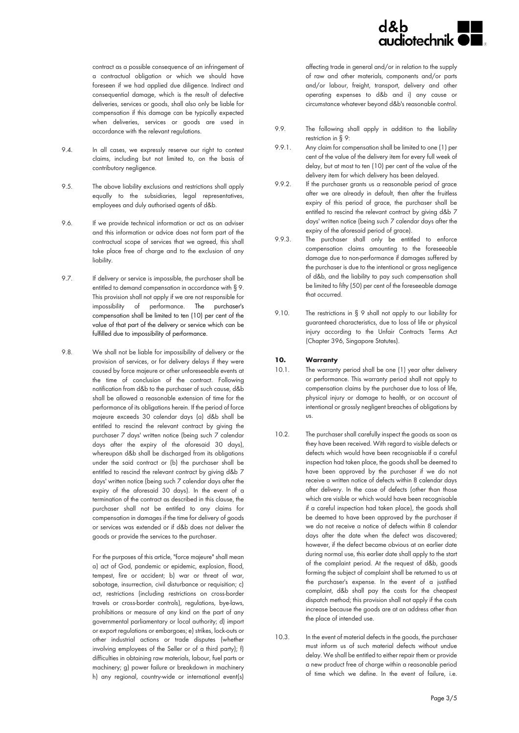

contract as a possible consequence of an infringement of a contractual obligation or which we should have foreseen if we had applied due diligence. Indirect and consequential damage, which is the result of defective deliveries, services or goods, shall also only be liable for compensation if this damage can be typically expected when deliveries, services or goods are used in accordance with the relevant regulations.

- 9.4. In all cases, we expressly reserve our right to contest claims, including but not limited to, on the basis of contributory negligence.
- 9.5. The above liability exclusions and restrictions shall apply equally to the subsidiaries, legal representatives, employees and duly authorised agents of d&b.
- 9.6. If we provide technical information or act as an adviser and this information or advice does not form part of the contractual scope of services that we agreed, this shall take place free of charge and to the exclusion of any liability.
- 9.7. If delivery or service is impossible, the purchaser shall be entitled to demand compensation in accordance with § 9. This provision shall not apply if we are not responsible for impossibility of performance. The purchaser's compensation shall be limited to ten (10) per cent of the value of that part of the delivery or service which can be fulfilled due to impossibility of performance.
- 9.8. We shall not be liable for impossibility of delivery or the provision of services, or for delivery delays if they were caused by force majeure or other unforeseeable events at the time of conclusion of the contract. Following notification from d&b to the purchaser of such cause, d&b shall be allowed a reasonable extension of time for the performance of its obligations herein. If the period of force majeure exceeds 30 calendar days (a) d&b shall be entitled to rescind the relevant contract by giving the purchaser 7 days' written notice (being such 7 calendar days after the expiry of the aforesaid 30 days), whereupon d&b shall be discharged from its obligations under the said contract or (b) the purchaser shall be entitled to rescind the relevant contract by giving d&b 7 days' written notice (being such 7 calendar days after the expiry of the aforesaid 30 days). In the event of a termination of the contract as described in this clause, the purchaser shall not be entitled to any claims for compensation in damages if the time for delivery of goods or services was extended or if d&b does not deliver the goods or provide the services to the purchaser.

For the purposes of this article, "force majeure" shall mean a) act of God, pandemic or epidemic, explosion, flood, tempest, fire or accident; b) war or threat of war, sabotage, insurrection, civil disturbance or requisition; c) act, restrictions (including restrictions on cross-border travels or cross-border controls), regulations, bye-laws, prohibitions or measure of any kind on the part of any governmental parliamentary or local authority; d) import or export regulations or embargoes; e) strikes, lock-outs or other industrial actions or trade disputes (whether involving employees of the Seller or of a third party); f) difficulties in obtaining raw materials, labour, fuel parts or machinery; g) power failure or breakdown in machinery h) any regional, country-wide or international event(s) affecting trade in general and/or in relation to the supply of raw and other materials, components and/or parts and/or labour, freight, transport, delivery and other operating expenses to d&b and i) any cause or circumstance whatever beyond d&b's reasonable control.

- 9.9. The following shall apply in addition to the liability restriction in § 9:
- 9.9.1. Any claim for compensation shall be limited to one (1) per cent of the value of the delivery item for every full week of delay, but at most to ten (10) per cent of the value of the delivery item for which delivery has been delayed.
- 9.9.2. If the purchaser grants us a reasonable period of grace after we are already in default, then after the fruitless expiry of this period of grace, the purchaser shall be entitled to rescind the relevant contract by giving d&b 7 days' written notice (being such 7 calendar days after the expiry of the aforesaid period of grace).
- 9.9.3. The purchaser shall only be entitled to enforce compensation claims amounting to the foreseeable damage due to non-performance if damages suffered by the purchaser is due to the intentional or gross negligence of d&b, and the liability to pay such compensation shall be limited to fifty (50) per cent of the foreseeable damage that occurred.
- 9.10. The restrictions in § 9 shall not apply to our liability for guaranteed characteristics, due to loss of life or physical injury according to the Unfair Contracts Terms Act (Chapter 396, Singapore Statutes).

#### **10. Warranty**

- 10.1. The warranty period shall be one (1) year after delivery or performance. This warranty period shall not apply to compensation claims by the purchaser due to loss of life, physical injury or damage to health, or on account of intentional or grossly negligent breaches of obligations by us.
- 10.2. The purchaser shall carefully inspect the goods as soon as they have been received. With regard to visible defects or defects which would have been recognisable if a careful inspection had taken place, the goods shall be deemed to have been approved by the purchaser if we do not receive a written notice of defects within 8 calendar days after delivery. In the case of defects (other than those which are visible or which would have been recognisable if a careful inspection had taken place), the goods shall be deemed to have been approved by the purchaser if we do not receive a notice of defects within 8 calendar days after the date when the defect was discovered; however, if the defect became obvious at an earlier date during normal use, this earlier date shall apply to the start of the complaint period. At the request of d&b, goods forming the subject of complaint shall be returned to us at the purchaser's expense. In the event of a justified complaint, d&b shall pay the costs for the cheapest dispatch method; this provision shall not apply if the costs increase because the goods are at an address other than the place of intended use.
- 10.3. In the event of material defects in the goods, the purchaser must inform us of such material defects without undue delay. We shall be entitled to either repair them or provide a new product free of charge within a reasonable period of time which we define. In the event of failure, i.e.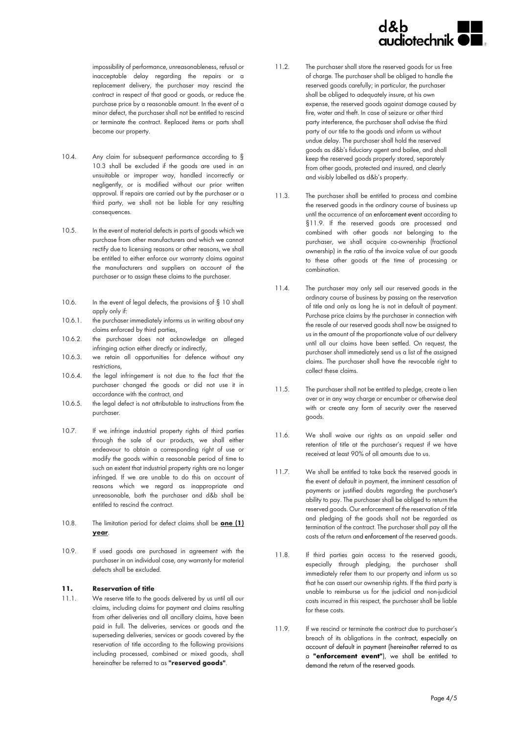

impossibility of performance, unreasonableness, refusal or inacceptable delay regarding the repairs or a replacement delivery, the purchaser may rescind the contract in respect of that good or goods, or reduce the purchase price by a reasonable amount. In the event of a minor defect, the purchaser shall not be entitled to rescind or terminate the contract. Replaced items or parts shall become our property.

- 10.4. Any claim for subsequent performance according to § 10.3 shall be excluded if the goods are used in an unsuitable or improper way, handled incorrectly or negligently, or is modified without our prior written approval. If repairs are carried out by the purchaser or a third party, we shall not be liable for any resulting consequences.
- 10.5. In the event of material defects in parts of goods which we purchase from other manufacturers and which we cannot rectify due to licensing reasons or other reasons, we shall be entitled to either enforce our warranty claims against the manufacturers and suppliers on account of the purchaser or to assign these claims to the purchaser.
- 10.6. In the event of legal defects, the provisions of § 10 shall apply only if:
- 10.6.1. the purchaser immediately informs us in writing about any claims enforced by third parties,
- 10.6.2. the purchaser does not acknowledge an alleged infringing action either directly or indirectly,
- 10.6.3. we retain all opportunities for defence without any restrictions,
- 10.6.4. the legal infringement is not due to the fact that the purchaser changed the goods or did not use it in accordance with the contract, and
- 10.6.5. the legal defect is not attributable to instructions from the purchaser.
- 10.7. If we infringe industrial property rights of third parties through the sale of our products, we shall either endeavour to obtain a corresponding right of use or modify the goods within a reasonable period of time to such an extent that industrial property rights are no longer infringed. If we are unable to do this on account of reasons which we regard as inappropriate and unreasonable, both the purchaser and d&b shall be entitled to rescind the contract.
- 10.8. The limitation period for defect claims shall be **one (1) year**.
- 10.9. If used goods are purchased in agreement with the purchaser in an individual case, any warranty for material defects shall be excluded.

#### **11. Reservation of title**

11.1. We reserve title to the goods delivered by us until all our claims, including claims for payment and claims resulting from other deliveries and all ancillary claims, have been paid in full. The deliveries, services or goods and the superseding deliveries, services or goods covered by the reservation of title according to the following provisions including processed, combined or mixed goods, shall hereinafter be referred to as **"reserved goods"**.

- 11.2. The purchaser shall store the reserved goods for us free of charge. The purchaser shall be obliged to handle the reserved goods carefully; in particular, the purchaser shall be obliged to adequately insure, at his own expense, the reserved goods against damage caused by fire, water and theft. In case of seizure or other third party interference, the purchaser shall advise the third party of our title to the goods and inform us without undue delay. The purchaser shall hold the reserved goods as d&b's fiduciary agent and bailee, and shall keep the reserved goods properly stored, separately from other goods, protected and insured, and clearly and visibly labelled as d&b's property.
- 11.3. The purchaser shall be entitled to process and combine the reserved goods in the ordinary course of business up until the occurrence of an enforcement event according to §11.9. If the reserved goods are processed and combined with other goods not belonging to the purchaser, we shall acquire co-ownership (fractional ownership) in the ratio of the invoice value of our goods to these other goods at the time of processing or combination.
- 11.4. The purchaser may only sell our reserved goods in the ordinary course of business by passing on the reservation of title and only as long he is not in default of payment. Purchase price claims by the purchaser in connection with the resale of our reserved goods shall now be assigned to us in the amount of the proportionate value of our delivery until all our claims have been settled. On request, the purchaser shall immediately send us a list of the assigned claims. The purchaser shall have the revocable right to collect these claims.
- 11.5. The purchaser shall not be entitled to pledge, create a lien over or in any way charge or encumber or otherwise deal with or create any form of security over the reserved goods.
- 11.6. We shall waive our rights as an unpaid seller and retention of title at the purchaser's request if we have received at least 90% of all amounts due to us.
- 11.7. We shall be entitled to take back the reserved goods in the event of default in payment, the imminent cessation of payments or justified doubts regarding the purchaser's ability to pay. The purchaser shall be obliged to return the reserved goods. Our enforcement of the reservation of title and pledging of the goods shall not be regarded as termination of the contract. The purchaser shall pay all the costs of the return and enforcement of the reserved goods.
- 11.8. If third parties gain access to the reserved goods, especially through pledging, the purchaser shall immediately refer them to our property and inform us so that he can assert our ownership rights. If the third party is unable to reimburse us for the judicial and non-judicial costs incurred in this respect, the purchaser shall be liable for these costs.
- 11.9. If we rescind or terminate the contract due to purchaser's breach of its obligations in the contract, especially on account of default in payment (hereinafter referred to as a **"enforcement event"**), we shall be entitled to demand the return of the reserved goods.